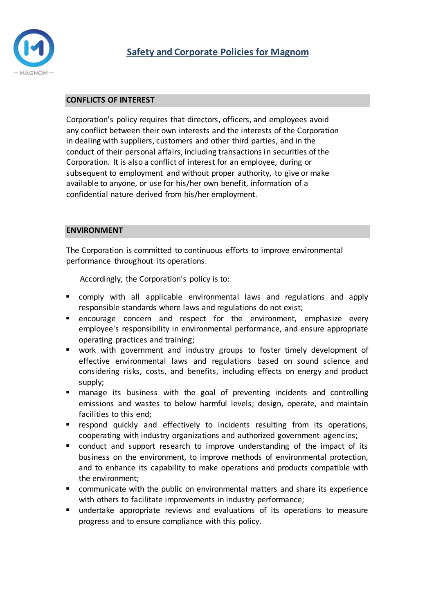

### **CONFLICTS OF INTEREST**

Corporation's policy requires that directors, officers, and employees avoid any conflict between their own interests and the interests of the Corporation in dealing with suppliers, customers and other third parties, and in the conduct of their personal affairs, including transactions in securities of the Corporation. It is also a conflict of interest for an employee, during or subsequent to employment and without proper authority, to give or make available to anyone, or use for his/her own benefit, information of a confidential nature derived from his/her employment.

#### **ENVIRONMENT**

The Corporation is committed to continuous efforts to improve environmental performance throughout its operations.

Accordingly, the Corporation's policy is to:

- comply with all applicable environmental laws and regulations and apply responsible standards where laws and regulations do not exist;
- **E** encourage concern and respect for the environment, emphasize every employee's responsibility in environmental performance, and ensure appropriate operating practices and training;
- work with government and industry groups to foster timely development of effective environmental laws and regulations based on sound science and considering risks, costs, and benefits, including effects on energy and product supply;
- manage its business with the goal of preventing incidents and controlling emissions and wastes to below harmful levels; design, operate, and maintain facilities to this end;
- **•** respond quickly and effectively to incidents resulting from its operations, cooperating with industry organizations and authorized government agencies;
- conduct and support research to improve understanding of the impact of its business on the environment, to improve methods of environmental protection, and to enhance its capability to make operations and products compatible with the environment;
- communicate with the public on environmental matters and share its experience with others to facilitate improvements in industry performance;
- undertake appropriate reviews and evaluations of its operations to measure progress and to ensure compliance with this policy.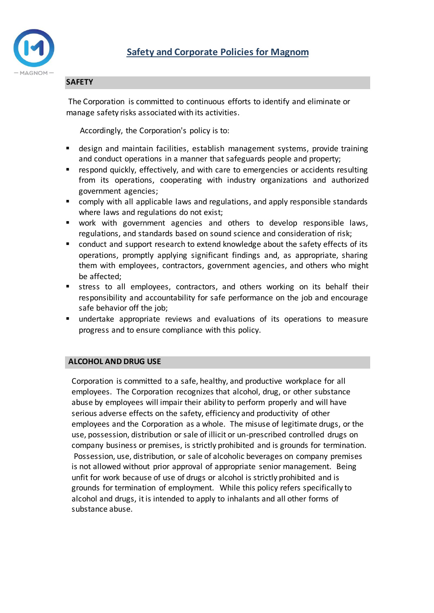

#### **SAFETY**

The Corporation is committed to continuous efforts to identify and eliminate or manage safety risks associated with its activities.

Accordingly, the Corporation's policy is to:

- design and maintain facilities, establish management systems, provide training and conduct operations in a manner that safeguards people and property;
- respond quickly, effectively, and with care to emergencies or accidents resulting from its operations, cooperating with industry organizations and authorized government agencies;
- comply with all applicable laws and regulations, and apply responsible standards where laws and regulations do not exist;
- work with government agencies and others to develop responsible laws, regulations, and standards based on sound science and consideration of risk;
- conduct and support research to extend knowledge about the safety effects of its operations, promptly applying significant findings and, as appropriate, sharing them with employees, contractors, government agencies, and others who might be affected;
- stress to all employees, contractors, and others working on its behalf their responsibility and accountability for safe performance on the job and encourage safe behavior off the job;
- undertake appropriate reviews and evaluations of its operations to measure progress and to ensure compliance with this policy.

#### **ALCOHOL AND DRUG USE**

Corporation is committed to a safe, healthy, and productive workplace for all employees. The Corporation recognizes that alcohol, drug, or other substance abuse by employees will impair their ability to perform properly and will have serious adverse effects on the safety, efficiency and productivity of other employees and the Corporation as a whole. The misuse of legitimate drugs, or the use, possession, distribution or sale of illicit or un-prescribed controlled drugs on company business or premises, is strictly prohibited and is grounds for termination. Possession, use, distribution, or sale of alcoholic beverages on company premises is not allowed without prior approval of appropriate senior management. Being unfit for work because of use of drugs or alcohol is strictly prohibited and is grounds for termination of employment. While this policy refers specifically to alcohol and drugs, it is intended to apply to inhalants and all other forms of substance abuse.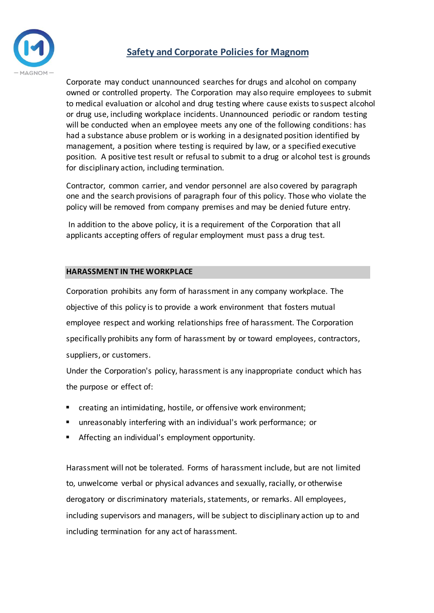



Corporate may conduct unannounced searches for drugs and alcohol on company owned or controlled property. The Corporation may also require employees to submit to medical evaluation or alcohol and drug testing where cause exists to suspect alcohol or drug use, including workplace incidents. Unannounced periodic or random testing will be conducted when an employee meets any one of the following conditions: has had a substance abuse problem or is working in a designated position identified by management, a position where testing is required by law, or a specified executive position. A positive test result or refusal to submit to a drug or alcohol test is grounds for disciplinary action, including termination.

Contractor, common carrier, and vendor personnel are also covered by paragraph one and the search provisions of paragraph four of this policy. Those who violate the policy will be removed from company premises and may be denied future entry.

In addition to the above policy, it is a requirement of the Corporation that all applicants accepting offers of regular employment must pass a drug test.

## **HARASSMENT IN THE WORKPLACE**

Corporation prohibits any form of harassment in any company workplace. The objective of this policy is to provide a work environment that fosters mutual employee respect and working relationships free of harassment. The Corporation specifically prohibits any form of harassment by or toward employees, contractors, suppliers, or customers.

Under the Corporation's policy, harassment is any inappropriate conduct which has the purpose or effect of:

- creating an intimidating, hostile, or offensive work environment;
- unreasonably interfering with an individual's work performance; or
- Affecting an individual's employment opportunity.

Harassment will not be tolerated. Forms of harassment include, but are not limited to, unwelcome verbal or physical advances and sexually, racially, or otherwise derogatory or discriminatory materials, statements, or remarks. All employees, including supervisors and managers, will be subject to disciplinary action up to and including termination for any act of harassment.